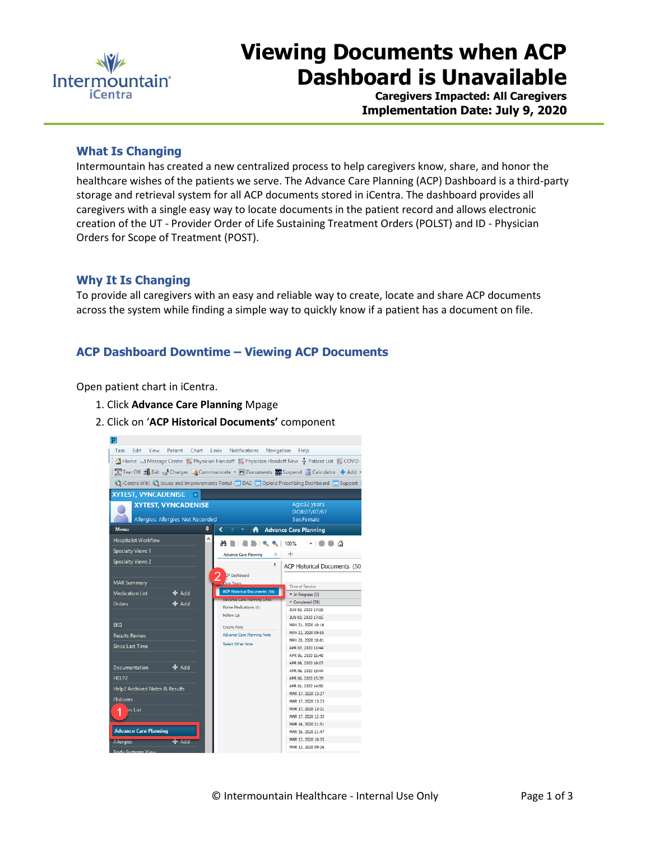

# **Viewing Documents when ACP Dashboard is Unavailable**

**Caregivers Impacted: All Caregivers Implementation Date: July 9, 2020**

## **What Is Changing**

Intermountain has created a new centralized process to help caregivers know, share, and honor the healthcare wishes of the patients we serve. The Advance Care Planning (ACP) Dashboard is a third-party storage and retrieval system for all ACP documents stored in iCentra. The dashboard provides all caregivers with a single easy way to locate documents in the patient record and allows electronic creation of the UT - Provider Order of Life Sustaining Treatment Orders (POLST) and ID - Physician Orders for Scope of Treatment (POST).

### **Why It Is Changing**

To provide all caregivers with an easy and reliable way to create, locate and share ACP documents across the system while finding a simple way to quickly know if a patient has a document on file.

## **ACP Dashboard Downtime – Viewing ACP Documents**

Open patient chart in iCentra.

- 1. Click **Advance Care Planning** Mpage
- 2. Click on '**ACP Historical Documents'** component